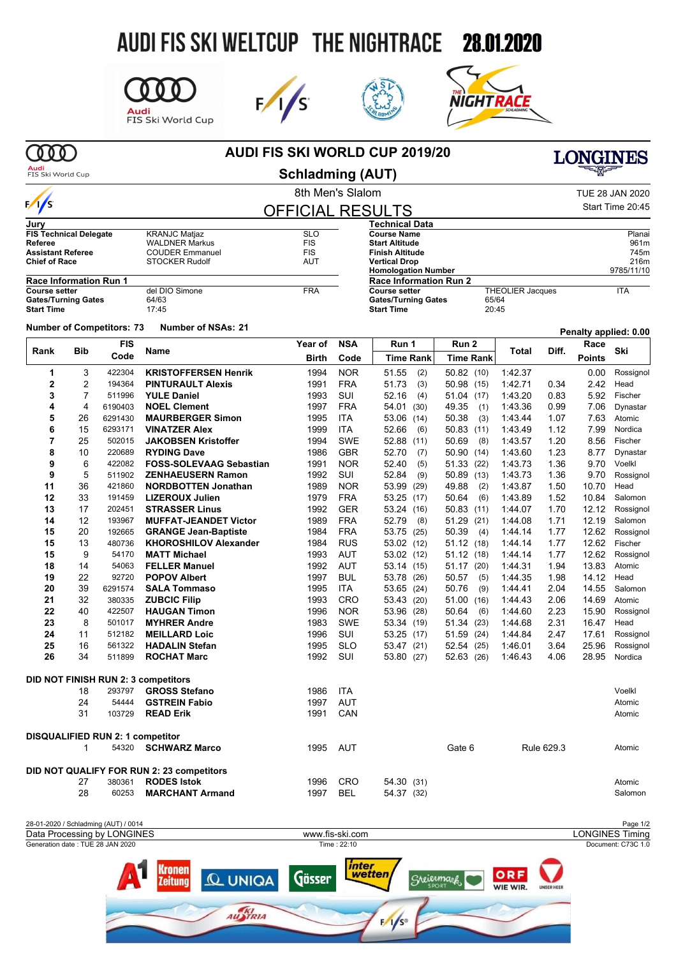# AUDI FIS SKI WELTCUP THE NIGHTRACE 28.01.2020



**STOCKER Rudolf** 

**del DIO Simone**<br>64/63







| Audi |  |  |  |
|------|--|--|--|

**Jury**

 $\frac{1}{s}$ 

**Start Time** 

# **AUDI FIS SKI WORLD CUP 2019/20**



FIS Ski World Cup

**FIS Technical Delegate**<br>Referee

**Race Information Run 1**<br>Course setter

## 8th Men's Slalom TUE 28 JAN 2020 **Schladming (AUT)**

| <b>OFFICIAL RESULTS</b> | Start Time 20:45              |                         |            |
|-------------------------|-------------------------------|-------------------------|------------|
|                         | <b>Technical Data</b>         |                         |            |
| <b>SLO</b>              | <b>Course Name</b>            |                         | Planai     |
| <b>FIS</b>              | <b>Start Altitude</b>         |                         | 961m       |
| <b>FIS</b>              | <b>Finish Altitude</b>        |                         | 745m       |
| <b>AUT</b>              | <b>Vertical Drop</b>          |                         | 216m       |
|                         | <b>Homologation Number</b>    |                         | 9785/11/10 |
|                         | <b>Race Information Run 2</b> |                         |            |
| <b>FRA</b>              | <b>Course setter</b>          | <b>THEOLIER Jacques</b> | ITA        |
|                         | <b>Gates/Turning Gates</b>    | 65/64                   |            |
|                         | <b>Start Time</b>             | 20:45                   |            |

#### **Number of Competitors: <sup>73</sup> Number of NSAs: <sup>21</sup> Penalty applied: 0.00**

Gates/Turning Gates<br>
Start Time 17:45

**FIS Technical Delegate**<br> **Referee** WALDNER Markus<br> **Assistant Referee** COUDER Emmanue **Assistant Referee** COUDER Emmanuel<br>
Chief of Race STOCKER Rudolf

| Rank           | <b>Bib</b>     | <b>FIS</b>                              |                                                                 | Year of      | <b>NSA</b> | Run 1            | Run 2            | <b>Total</b> | Diff.      | Race          | Ski       |
|----------------|----------------|-----------------------------------------|-----------------------------------------------------------------|--------------|------------|------------------|------------------|--------------|------------|---------------|-----------|
|                |                | Code                                    | Name                                                            | <b>Birth</b> | Code       | <b>Time Rank</b> | <b>Time Rank</b> |              |            | <b>Points</b> |           |
| 1              | 3              | 422304                                  | <b>KRISTOFFERSEN Henrik</b>                                     | 1994         | <b>NOR</b> | 51.55<br>(2)     | 50.82(10)        | 1:42.37      |            | 0.00          | Rossignol |
| $\overline{c}$ | 2              | 194364                                  | <b>PINTURAULT Alexis</b>                                        | 1991         | <b>FRA</b> | 51.73<br>(3)     | 50.98 (15)       | 1:42.71      | 0.34       | 2.42          | Head      |
| 3              | $\overline{7}$ | 511996                                  | <b>YULE Daniel</b>                                              | 1993         | SUI        | 52.16<br>(4)     | 51.04 (17)       | 1:43.20      | 0.83       | 5.92          | Fischer   |
| 4              | 4              | 6190403                                 | <b>NOEL Clement</b>                                             | 1997         | <b>FRA</b> | 54.01<br>(30)    | 49.35<br>(1)     | 1.43.36      | 0.99       | 7.06          | Dynastar  |
| 5              | 26             | 6291430                                 | <b>MAURBERGER Simon</b>                                         | 1995         | <b>ITA</b> | 53.06<br>(14)    | 50.38<br>(3)     | 1:43.44      | 1.07       | 7.63          | Atomic    |
| 6              | 15             | 6293171                                 | <b>VINATZER Alex</b>                                            | 1999         | <b>ITA</b> | 52.66<br>(6)     | 50.83(11)        | 1:43.49      | 1.12       | 7.99          | Nordica   |
| 7              | 25             | 502015                                  | <b>JAKOBSEN Kristoffer</b>                                      | 1994         | <b>SWE</b> | 52.88<br>(11)    | 50.69<br>(8)     | 1:43.57      | 1.20       | 8.56          | Fischer   |
| 8              | 10             | 220689                                  | <b>RYDING Dave</b>                                              | 1986         | <b>GBR</b> | 52.70<br>(7)     | 50.90 (14)       | 1.43.60      | 1.23       | 8.77          | Dynastar  |
| 9              | 6              | 422082                                  | <b>FOSS-SOLEVAAG Sebastian</b>                                  | 1991         | <b>NOR</b> | 52.40<br>(5)     | 51.33 (22)       | 1.43.73      | 1.36       | 9.70          | Voelkl    |
| 9              | 5              | 511902                                  | <b>ZENHAEUSERN Ramon</b>                                        | 1992         | <b>SUI</b> | 52.84<br>(9)     | 50.89 (13)       | 1:43.73      | 1.36       | 9.70          | Rossignol |
| 11             | 36             | 421860                                  | <b>NORDBOTTEN Jonathan</b>                                      | 1989         | <b>NOR</b> | 53.99<br>(29)    | 49.88<br>(2)     | 1.43.87      | 1.50       | 10.70         | Head      |
| 12             | 33             | 191459                                  | <b>LIZEROUX Julien</b>                                          | 1979         | <b>FRA</b> | 53.25<br>(17)    | 50.64<br>(6)     | 1.43.89      | 1.52       | 10.84         | Salomon   |
| 13             | 17             | 202451                                  | <b>STRASSER Linus</b>                                           | 1992         | <b>GER</b> | 53.24<br>(16)    | 50.83(11)        | 1.44.07      | 1.70       | 12.12         | Rossignol |
| 14             | 12             | 193967                                  | <b>MUFFAT-JEANDET Victor</b>                                    | 1989         | <b>FRA</b> | 52.79<br>(8)     | 51.29 (21)       | 1:44.08      | 1.71       | 12.19         | Salomon   |
| 15             | 20             | 192665                                  | <b>GRANGE Jean-Baptiste</b>                                     | 1984         | <b>FRA</b> | 53.75<br>(25)    | 50.39<br>(4)     | 1:44.14      | 1.77       | 12.62         | Rossignol |
| 15             | 13             | 480736                                  | <b>KHOROSHILOV Alexander</b>                                    | 1984         | <b>RUS</b> | 53.02 (12)       | 51.12(18)        | 1 44 14      | 1.77       | 12.62         | Fischer   |
| 15             | 9              | 54170                                   | <b>MATT Michael</b>                                             | 1993         | <b>AUT</b> | 53.02 (12)       | 51.12(18)        | 1 44 14      | 1.77       | 12.62         | Rossignol |
| 18             | 14             | 54063                                   | <b>FELLER Manuel</b>                                            | 1992         | <b>AUT</b> | 53.14<br>(15)    | 51.17 (20)       | 1 44 31      | 1.94       | 13.83         | Atomic    |
| 19             | 22             | 92720                                   | <b>POPOV Albert</b>                                             | 1997         | <b>BUL</b> | 53.78<br>(26)    | 50.57<br>(5)     | 1:44.35      | 1.98       | 14.12         | Head      |
| 20             | 39             | 6291574                                 | <b>SALA Tommaso</b>                                             | 1995         | <b>ITA</b> | 53.65<br>(24)    | 50.76<br>(9)     | 1:44.41      | 2.04       | 14.55         | Salomon   |
| 21             | 32             | 380335                                  | <b>ZUBCIC Filip</b>                                             | 1993         | CRO        | 53.43<br>(20)    | 51.00<br>(16)    | 1:44.43      | 2.06       | 14.69         | Atomic    |
| 22             | 40             | 422507                                  | <b>HAUGAN Timon</b>                                             | 1996         | <b>NOR</b> | 53.96<br>(28)    | 50.64<br>(6)     | 1.44.60      | 2.23       | 15.90         | Rossignol |
| 23             | 8              | 501017                                  | <b>MYHRER Andre</b>                                             | 1983         | <b>SWE</b> | 53.34 (19)       | 51.34 (23)       | 1.44.68      | 2.31       | 16.47         | Head      |
| 24             | 11             | 512182                                  | <b>MEILLARD Loic</b>                                            | 1996         | SUI        | 53.25 (17)       | 51.59 (24)       | 1 44 84      | 2.47       | 17.61         | Rossignol |
| 25             | 16             | 561322                                  | <b>HADALIN Stefan</b>                                           | 1995         | <b>SLO</b> | 53.47<br>(21)    | 52.54 (25)       | 1.46.01      | 3.64       | 25.96         | Rossignol |
| 26             | 34             | 511899                                  | <b>ROCHAT Marc</b>                                              | 1992         | SUI        | 53.80<br>(27)    | 52.63 (26)       | 1.46.43      | 4.06       | 28.95         | Nordica   |
|                |                |                                         | DID NOT FINISH RUN 2: 3 competitors                             |              |            |                  |                  |              |            |               |           |
|                | 18             | 293797                                  | <b>GROSS Stefano</b>                                            | 1986         | <b>ITA</b> |                  |                  |              |            |               | Voelkl    |
|                | 24             | 54444                                   | <b>GSTREIN Fabio</b>                                            | 1997         | AUT        |                  |                  |              |            |               | Atomic    |
|                | 31             | 103729                                  | <b>READ Erik</b>                                                | 1991         | CAN        |                  |                  |              |            |               | Atomic    |
|                |                | <b>DISQUALIFIED RUN 2: 1 competitor</b> |                                                                 |              |            |                  |                  |              |            |               |           |
|                | 1              | 54320                                   | <b>SCHWARZ Marco</b>                                            | 1995         | <b>AUT</b> |                  | Gate 6           |              | Rule 629.3 |               | Atomic    |
|                |                |                                         |                                                                 |              |            |                  |                  |              |            |               |           |
|                |                |                                         | DID NOT QUALIFY FOR RUN 2: 23 competitors<br><b>RODES Istok</b> |              |            |                  |                  |              |            |               |           |
|                | 27             | 380361                                  |                                                                 | 1996         | CRO        | 54.30 (31)       |                  |              |            |               | Atomic    |
|                | 28             | 60253                                   | <b>MARCHANT Armand</b>                                          | 1997         | <b>BEL</b> | 54.37<br>(32)    |                  |              |            |               | Salomon   |